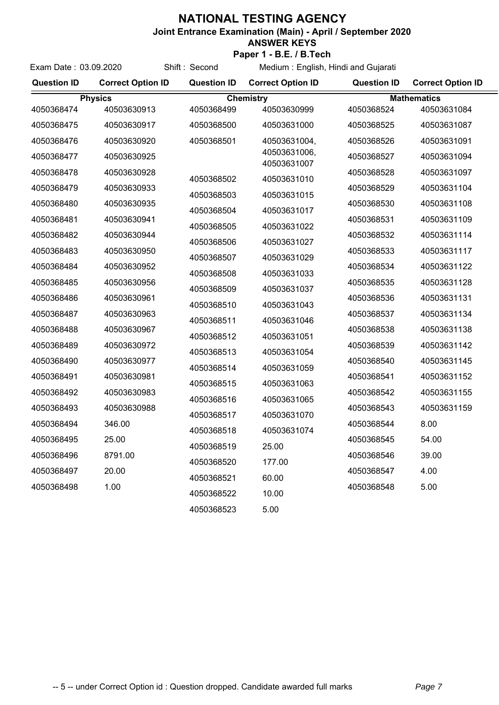## **NATIONAL TESTING AGENCY**

**Joint Entrance Examination (Main) - April / September 2020**

## **ANSWER KEYS**

Exam Date : 03.09.2020 Shift : Second **Paper 1 - B.E. / B.Tech**

Medium : English, Hindi and Gujarati

| <b>Question ID</b>       | <b>Correct Option ID</b> | <b>Question ID</b> | <b>Correct Option ID</b>    | <b>Question ID</b>       | <b>Correct Option ID</b> |
|--------------------------|--------------------------|--------------------|-----------------------------|--------------------------|--------------------------|
| <b>Physics</b>           |                          | <b>Chemistry</b>   |                             | <b>Mathematics</b>       |                          |
| 4050368474               | 40503630913              | 4050368499         | 40503630999                 | 4050368524               | 40503631084              |
| 4050368475               | 40503630917              | 4050368500         | 40503631000                 | 4050368525               | 40503631087              |
| 4050368476               | 40503630920              | 4050368501         | 40503631004,                | 4050368526               | 40503631091              |
| 4050368477               | 40503630925              |                    | 40503631006,<br>40503631007 | 4050368527               | 40503631094              |
| 4050368478               | 40503630928              | 4050368502         | 40503631010                 | 4050368528               | 40503631097              |
| 4050368479               | 40503630933              |                    |                             | 4050368529               | 40503631104              |
| 4050368480               | 40503630935              | 4050368503         | 40503631015                 | 4050368530               | 40503631108              |
| 4050368481               | 40503630941              | 4050368504         | 40503631017                 | 4050368531               | 40503631109              |
| 4050368482               | 40503630944              | 4050368505         | 40503631022                 | 4050368532               | 40503631114              |
| 4050368483               | 40503630950              | 4050368506         | 40503631027                 | 4050368533               | 40503631117              |
| 4050368484               | 40503630952              | 4050368507         | 40503631029                 | 4050368534               | 40503631122              |
| 4050368485               | 40503630956              | 4050368508         | 40503631033                 | 4050368535               | 40503631128              |
|                          |                          | 4050368509         | 40503631037                 |                          |                          |
| 4050368486               | 40503630961              | 4050368510         | 40503631043                 | 4050368536               | 40503631131              |
| 4050368487               | 40503630963              | 4050368511         | 40503631046                 | 4050368537               | 40503631134              |
| 4050368488               | 40503630967              | 4050368512         | 40503631051                 | 4050368538               | 40503631138              |
| 4050368489               | 40503630972              | 4050368513         | 40503631054                 | 4050368539               | 40503631142              |
| 4050368490               | 40503630977              | 4050368514         | 40503631059                 | 4050368540               | 40503631145              |
| 4050368491               | 40503630981              |                    |                             | 4050368541               | 40503631152              |
| 4050368492               | 40503630983              | 4050368515         | 40503631063                 | 4050368542               | 40503631155              |
| 4050368493               | 40503630988              | 4050368516         | 40503631065                 | 4050368543               | 40503631159              |
| 4050368494               | 346.00                   | 4050368517         | 40503631070                 | 4050368544               | 8.00                     |
| 4050368495               | 25.00                    | 4050368518         | 40503631074                 | 4050368545               | 54.00                    |
| 4050368496               | 8791.00                  | 4050368519         | 25.00                       | 4050368546               | 39.00                    |
|                          |                          | 4050368520         | 177.00                      |                          |                          |
| 4050368497<br>4050368498 | 20.00<br>1.00            | 4050368521         | 60.00                       | 4050368547<br>4050368548 | 4.00<br>5.00             |
|                          |                          | 4050368522         | 10.00                       |                          |                          |
|                          |                          | 4050368523         | 5.00                        |                          |                          |